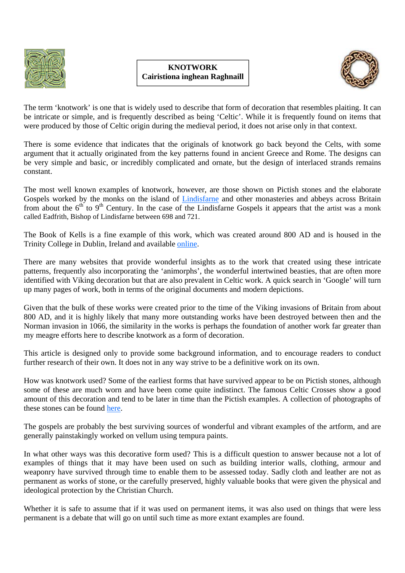

## **KNOTWORK Cairistiona inghean Raghnaill**



The term 'knotwork' is one that is widely used to describe that form of decoration that resembles plaiting. It can be intricate or simple, and is frequently described as being 'Celtic'. While it is frequently found on items that were produced by those of Celtic origin during the medieval period, it does not arise only in that context.

There is some evidence that indicates that the originals of knotwork go back beyond the Celts, with some argument that it actually originated from the key patterns found in ancient Greece and Rome. The designs can be very simple and basic, or incredibly complicated and ornate, but the design of interlaced strands remains constant.

The most well known examples of knotwork, however, are those shown on Pictish stones and the elaborate Gospels worked by the monks on the island of Lindisfarne and other monasteries and abbeys across Britain from about the  $6<sup>th</sup>$  to  $9<sup>th</sup>$  Century. In the case of the Lindisfarne Gospels it appears that the artist was a monk called Eadfrith, Bishop of Lindisfarne between 698 and 721.

The Book of Kells is a fine example of this work, which was created around 800 AD and is housed in the Trinity College in Dublin, Ireland and available online.

There are many websites that provide wonderful insights as to the work that created using these intricate patterns, frequently also incorporating the 'animorphs', the wonderful intertwined beasties, that are often more identified with Viking decoration but that are also prevalent in Celtic work. A quick search in 'Google' will turn up many pages of work, both in terms of the original documents and modern depictions.

Given that the bulk of these works were created prior to the time of the Viking invasions of Britain from about 800 AD, and it is highly likely that many more outstanding works have been destroyed between then and the Norman invasion in 1066, the similarity in the works is perhaps the foundation of another work far greater than my meagre efforts here to describe knotwork as a form of decoration.

This article is designed only to provide some background information, and to encourage readers to conduct further research of their own. It does not in any way strive to be a definitive work on its own.

How was knotwork used? Some of the earliest forms that have survived appear to be on Pictish stones, although some of these are much worn and have been come quite indistinct. The famous Celtic Crosses show a good amount of this decoration and tend to be later in time than the Pictish examples. A collection of photographs of these stones can be found here.

The gospels are probably the best surviving sources of wonderful and vibrant examples of the artform, and are generally painstakingly worked on vellum using tempura paints.

In what other ways was this decorative form used? This is a difficult question to answer because not a lot of examples of things that it may have been used on such as building interior walls, clothing, armour and weaponry have survived through time to enable them to be assessed today. Sadly cloth and leather are not as permanent as works of stone, or the carefully preserved, highly valuable books that were given the physical and ideological protection by the Christian Church.

Whether it is safe to assume that if it was used on permanent items, it was also used on things that were less permanent is a debate that will go on until such time as more extant examples are found.